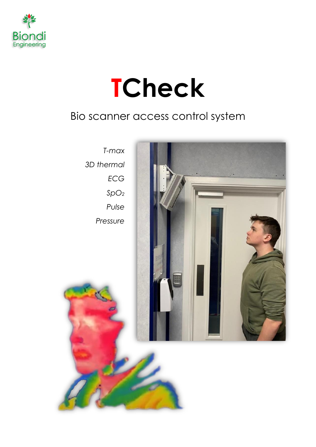

# **TCheck**

# Bio scanner access control system

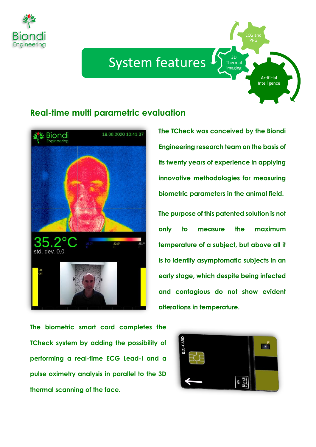

# System features  $\Gamma$

## **Real-time multi parametric evaluation**



**The TCheck was conceived by the Biondi Engineering research team on the basis of its twenty years of experience in applying innovative methodologies for measuring biometric parameters in the animal field.**

3D Thermal imaging

> Artificial Intelligence

ECG and PPG

**The purpose of this patented solution is not only to measure the maximum temperature of a subject, but above all it is to identify asymptomatic subjects in an early stage, which despite being infected and contagious do not show evident alterations in temperature.**

**The biometric smart card completes the TCheck system by adding the possibility of performing a real-time ECG Lead-I and a pulse oximetry analysis in parallel to the 3D thermal scanning of the face.**

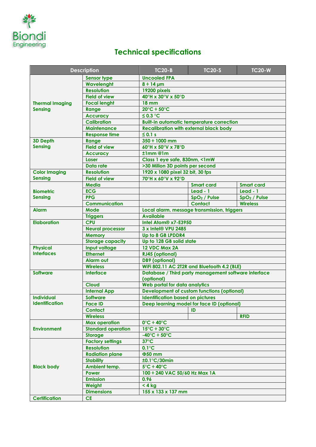

# **Technical specifications**

| <b>Description</b>                       |                           | <b>TC20-B</b>                                                      | <b>TC20-S</b>                              | <b>TC20-W</b>            |
|------------------------------------------|---------------------------|--------------------------------------------------------------------|--------------------------------------------|--------------------------|
|                                          | <b>Sensor type</b>        | <b>Uncooled FPA</b>                                                |                                            |                          |
| <b>Thermal Imaging</b><br><b>Sensing</b> | Wavelenght                | $8 \div 14$ µm                                                     |                                            |                          |
|                                          | <b>Resolution</b>         | 19200 pixels                                                       |                                            |                          |
|                                          | <b>Field of view</b>      | 40°H x 30°V x 50°D                                                 |                                            |                          |
|                                          | <b>Focal lenght</b>       | <b>18 mm</b>                                                       |                                            |                          |
|                                          | Range                     | $20^{\circ}$ C ÷ 50 $^{\circ}$ C                                   |                                            |                          |
|                                          | <b>Accuracy</b>           | ≤ 0.3 °C                                                           |                                            |                          |
|                                          | <b>Calibration</b>        | <b>Built-in automatic temperature correction</b>                   |                                            |                          |
|                                          | <b>Maintenance</b>        | <b>Recalibration with external black body</b>                      |                                            |                          |
|                                          | <b>Response time</b>      | $\leq 0.1$ s                                                       |                                            |                          |
| <b>3D Depth</b>                          | Range                     | 350 ÷ 1000 mm                                                      |                                            |                          |
| <b>Sensing</b>                           | <b>Field of view</b>      | 60°H x 50°V x 78°D                                                 |                                            |                          |
|                                          | <b>Accuracy</b>           | t1mm@1m                                                            |                                            |                          |
|                                          | Laser                     | Class 1 eye safe, 830nm, <1mW                                      |                                            |                          |
|                                          | Data rate                 | >30 Milion 3D points per second                                    |                                            |                          |
| <b>Color Imaging</b>                     | <b>Resolution</b>         | 1920 x 1080 pixel 32 bit, 30 fps                                   |                                            |                          |
| <b>Sensing</b>                           | <b>Field of view</b>      | 70°H x 60°V x 92°D                                                 |                                            |                          |
|                                          | <b>Media</b>              |                                                                    | <b>Smart card</b>                          | <b>Smart card</b>        |
| <b>Biometric</b>                         | <b>ECG</b>                |                                                                    | $Lead - 1$                                 | $lead - 1$               |
| <b>Sensing</b>                           | <b>PPG</b>                |                                                                    | SpO <sub>2</sub> / Pulse                   | SpO <sub>2</sub> / Pulse |
|                                          | <b>Communication</b>      |                                                                    | <b>Contact</b>                             | <b>Wireless</b>          |
| <b>Alarm</b>                             | Mode                      | Local alarm, message transmission, triggers<br><b>Available</b>    |                                            |                          |
|                                          | <b>Triggers</b>           |                                                                    |                                            |                          |
| <b>Elaboration</b>                       | <b>CPU</b>                | Intel Atom <sup>®</sup> x7-E3950                                   |                                            |                          |
|                                          | <b>Neural processor</b>   | 3 x Intel® VPU 2485                                                |                                            |                          |
|                                          | <b>Memory</b>             | Up to 8 GB LPDDR4                                                  |                                            |                          |
|                                          | <b>Storage capacity</b>   | Up to 128 GB solid state                                           |                                            |                          |
| <b>Physical</b>                          | Input voltage             | 12 VDC Max 2A                                                      |                                            |                          |
| <b>Interfaces</b>                        | <b>Ethernet</b>           | RJ45 (optional)                                                    |                                            |                          |
|                                          | <b>Alarm out</b>          | <b>DB9</b> (optional)                                              |                                            |                          |
|                                          | <b>Wireless</b>           | WiFi 802.11 AC 2T2R and Bluetooth 4.2 (BLE)                        |                                            |                          |
| <b>Software</b>                          | <b>Interface</b>          | Database / Third party management software interface<br>(optional) |                                            |                          |
|                                          | <b>Cloud</b>              | Web portal for data analytics                                      |                                            |                          |
|                                          | <b>Internal App</b>       | <b>Development of custom functions (optional)</b>                  |                                            |                          |
| <b>Individual</b>                        | <b>Software</b>           | <b>Identification based on pictures</b>                            |                                            |                          |
| <b>Identification</b>                    | <b>Face ID</b>            |                                                                    | Deep learning model for face ID (optional) |                          |
|                                          | <b>Contact</b>            |                                                                    | ID                                         |                          |
|                                          | <b>Wireless</b>           |                                                                    |                                            | <b>RFID</b>              |
|                                          | <b>Max operation</b>      | $0^\circ \text{C} \div 40^\circ \text{C}$                          |                                            |                          |
| <b>Environment</b>                       | <b>Standard operation</b> | $15^{\circ}$ C ÷ 30 $^{\circ}$ C                                   |                                            |                          |
|                                          | <b>Storage</b>            | $-40^{\circ}$ C ÷ 50 $^{\circ}$ C                                  |                                            |                          |
| <b>Black body</b>                        | <b>Factory settings</b>   | $37^{\circ}$ C                                                     |                                            |                          |
|                                          | <b>Resolution</b>         | $0.1^{\circ}$ C                                                    |                                            |                          |
|                                          | <b>Radiation plane</b>    | $\Phi$ 50 mm                                                       |                                            |                          |
|                                          | <b>Stability</b>          | ±0.1°C/30min                                                       |                                            |                          |
|                                          | Ambient temp.             | $5^{\circ}$ C ÷ 40 $^{\circ}$ C                                    |                                            |                          |
|                                          | Power                     | 100 ÷ 240 VAC 50/60 Hz Max 1A                                      |                                            |                          |
|                                          | <b>Emission</b>           | 0.96                                                               |                                            |                          |
|                                          | Weight                    | < 4 kg                                                             |                                            |                          |
|                                          | <b>Dimensions</b>         | 155 x 133 x 137 mm                                                 |                                            |                          |
| <b>Certification</b>                     | <b>CE</b>                 |                                                                    |                                            |                          |